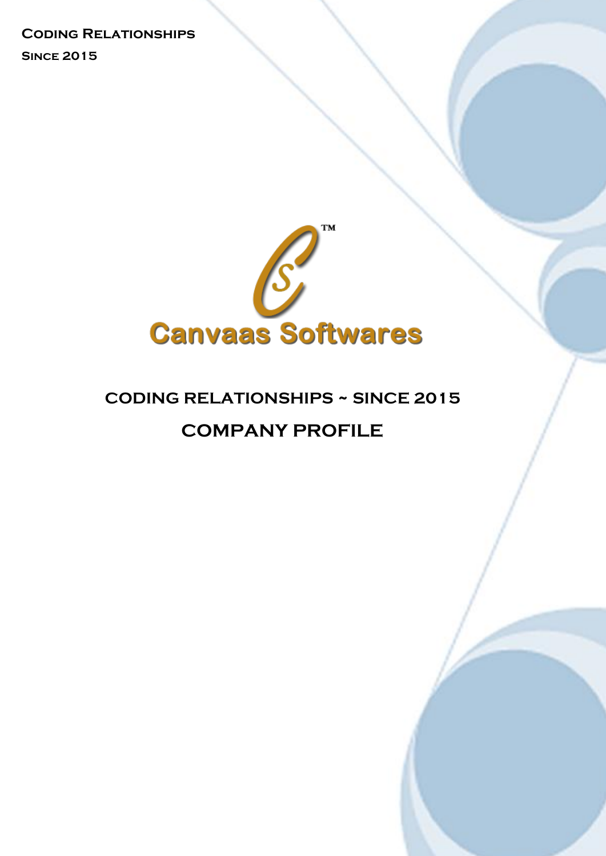**Coding Relationships**

 **Since 2015**



# **CODING RELATIONSHIPS ~ SINCE 2015 COMPANY PROFILE**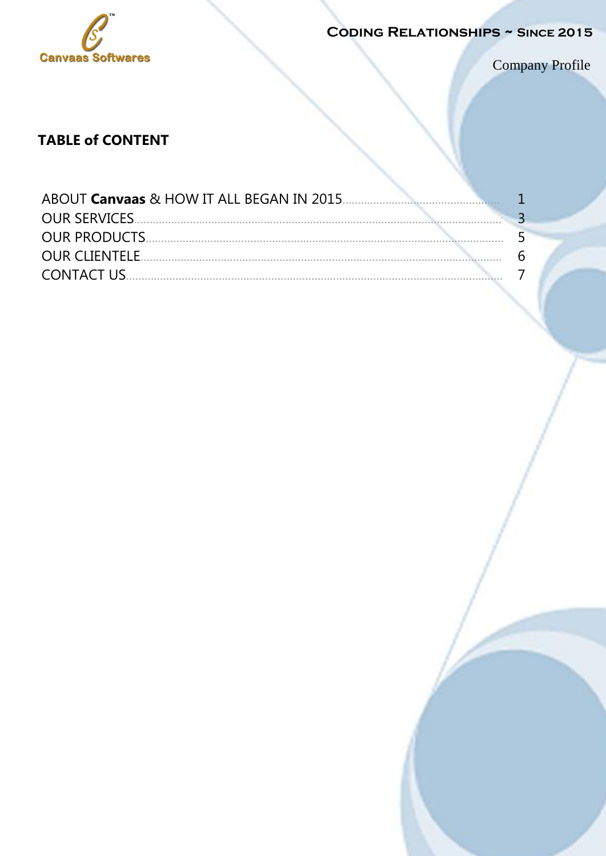

**CODING RELATIONSHIPS ~ SINCE 2015** 

Company Profile

## **TABLE of CONTENT**

|                       | ੨ |
|-----------------------|---|
|                       |   |
| <b>OUR CLIENTELE.</b> | 6 |
| <b>CONTACT US</b>     |   |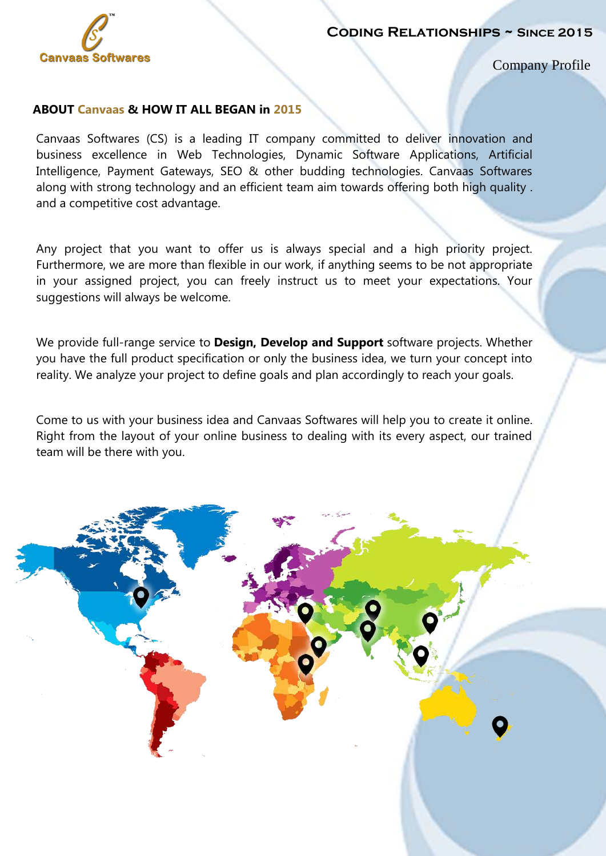

Company Profile

#### **ABOUT Canvaas & HOW IT ALL BEGAN in 2015**

Canvaas Softwares (CS) is a leading IT company committed to deliver innovation and business excellence in Web Technologies, Dynamic Software Applications, Artificial Intelligence, Payment Gateways, SEO & other budding technologies. Canvaas Softwares along with strong technology and an efficient team aim towards offering both high quality . and a competitive cost advantage.

Any project that you want to offer us is always special and a high priority project. Furthermore, we are more than flexible in our work, if anything seems to be not appropriate in your assigned project, you can freely instruct us to meet your expectations. Your suggestions will always be welcome.

We provide full-range service to **Design, Develop and Support** software projects. Whether you have the full product specification or only the business idea, we turn your concept into reality. We analyze your project to define goals and plan accordingly to reach your goals.

Come to us with your business idea and Canvaas Softwares will help you to create it online. Right from the layout of your online business to dealing with its every aspect, our trained team will be there with you.

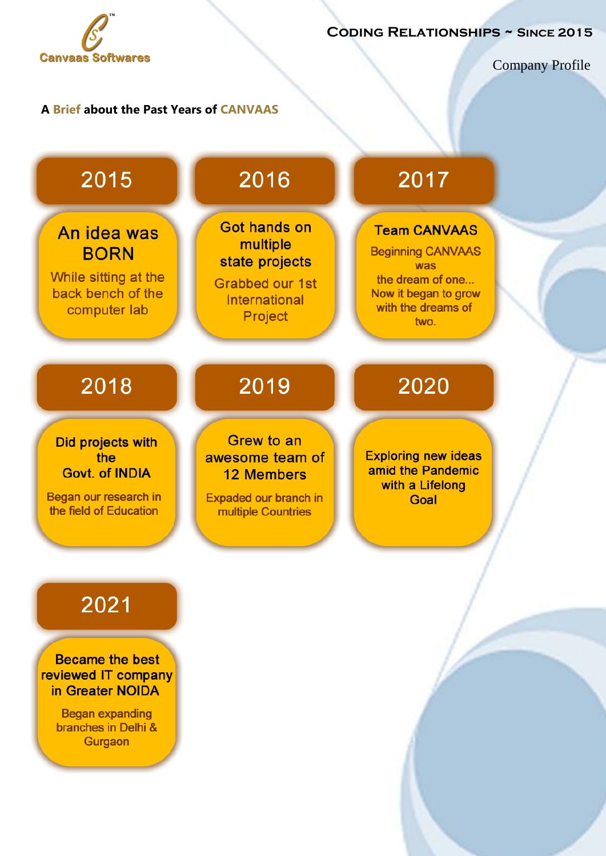

Company Profile

## **A Brief about the Past Years of CANVAAS**



**Began expanding** branches in Delhi & Gurgaon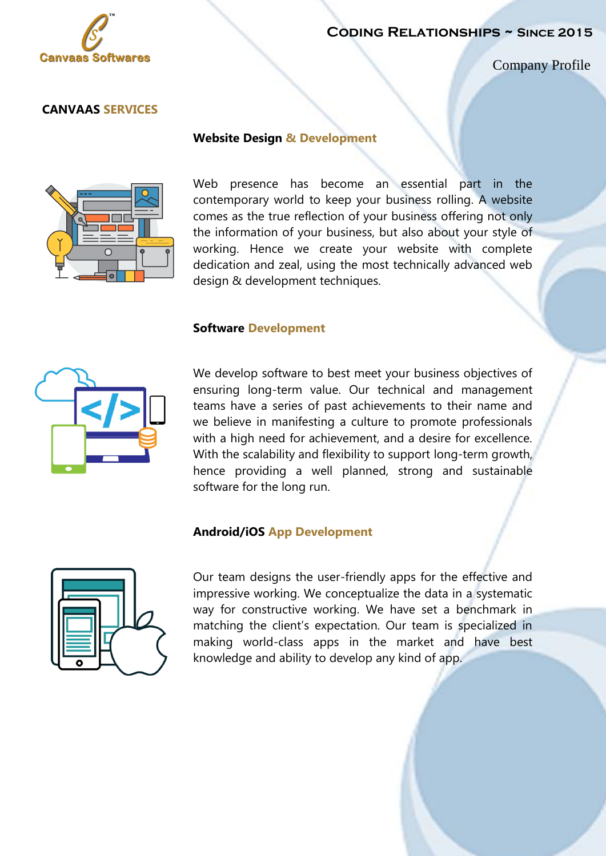

Company Profile

#### **CANVAAS SERVICES**



#### **Website Design & Development**

Web presence has become an essential part in the contemporary world to keep your business rolling. A website comes as the true reflection of your business offering not only the information of your business, but also about your style of working. Hence we create your website with complete dedication and zeal, using the most technically advanced web design & development techniques.

#### **Software Development**



We develop software to best meet your business objectives of ensuring long-term value. Our technical and management teams have a series of past achievements to their name and we believe in manifesting a culture to promote professionals with a high need for achievement, and a desire for excellence. With the scalability and flexibility to support long-term growth, hence providing a well planned, strong and sustainable software for the long run.

#### **Android/iOS App Development**



Our team designs the user-friendly apps for the effective and impressive working. We conceptualize the data in a systematic way for constructive working. We have set a benchmark in matching the client's expectation. Our team is specialized in making world-class apps in the market and have best knowledge and ability to develop any kind of app.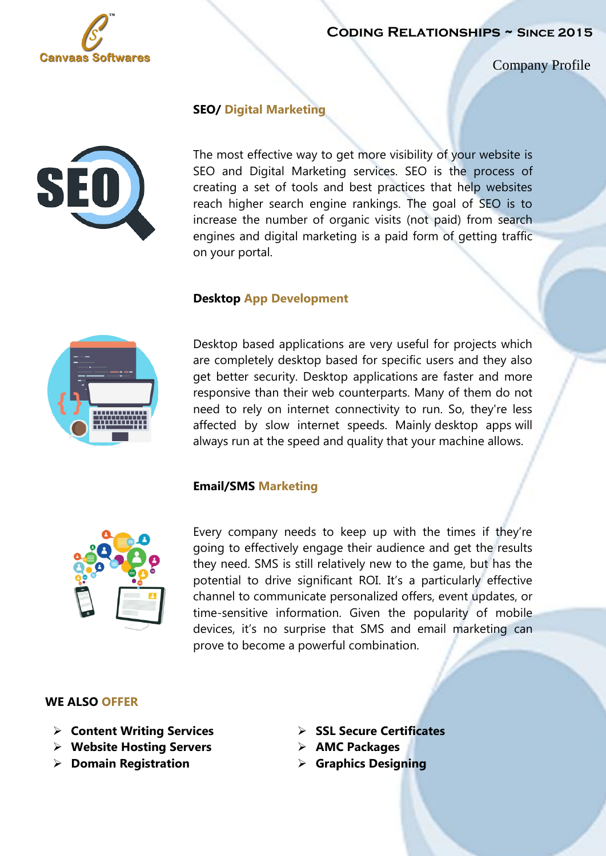

Company Profile



### **SEO/ Digital Marketing**

The most effective way to get more visibility of your website is SEO and Digital Marketing services. SEO is the process of creating a set of tools and best practices that help websites reach higher search engine rankings. The goal of SEO is to increase the number of organic visits (not paid) from search engines and digital marketing is a paid form of getting traffic on your portal.

#### **Desktop App Development**



Desktop based applications are very useful for projects which are completely desktop based for specific users and they also get better security. Desktop applications are faster and more responsive than their web counterparts. Many of them do not need to rely on internet connectivity to run. So, they're less affected by slow internet speeds. Mainly desktop apps will always run at the speed and quality that your machine allows.

#### **Email/SMS Marketing**



Every company needs to keep up with the times if they're going to effectively engage their audience and get the results they need. SMS is still relatively new to the game, but has the potential to drive significant ROI. It's a particularly effective channel to communicate personalized offers, event updates, or time-sensitive information. Given the popularity of mobile devices, it's no surprise that SMS and email marketing can prove to become a powerful combination.

#### **WE ALSO OFFER**

- **Content Writing Services SSL Secure Certificates**
- **Example 3 Except Website Hosting Servers AMC Packages**
- **Domain Registration by Graphics Designing**
- 
- -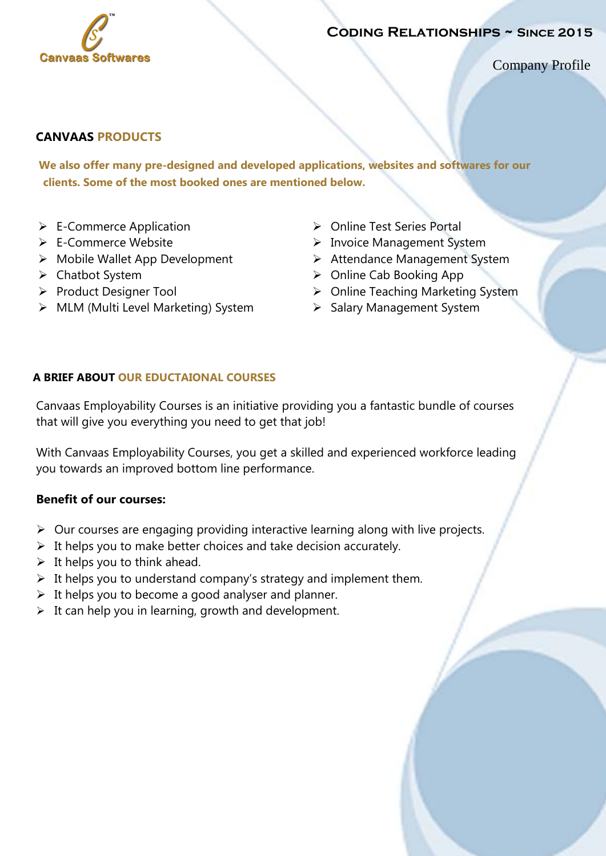

Company Profile

## **CANVAAS PRODUCTS**

 **We also offer many pre-designed and developed applications, websites and softwares for our clients. Some of the most booked ones are mentioned below.**

- $\triangleright$  E-Commerce Application
- E-Commerce Website
- $\triangleright$  Mobile Wallet App Development
- Chatbot System
- Product Designer Tool
- > MLM (Multi Level Marketing) System
- ▶ Online Test Series Portal
- > Invoice Management System
- Attendance Management System
- ▶ Online Cab Booking App
- $\triangleright$  Online Teaching Marketing System
- $\triangleright$  Salary Management System

## **A BRIEF ABOUT OUR EDUCTAIONAL COURSES**

Canvaas Employability Courses is an initiative providing you a fantastic bundle of courses that will give you everything you need to get that job!

With Canvaas Employability Courses, you get a skilled and experienced workforce leading you towards an improved bottom line performance.

## **Benefit of our courses:**

- $\triangleright$  Our courses are engaging providing interactive learning along with live projects.
- $\triangleright$  It helps you to make better choices and take decision accurately.
- $\triangleright$  It helps you to think ahead.
- $\triangleright$  It helps you to understand company's strategy and implement them.
- $\triangleright$  It helps you to become a good analyser and planner.
- $\triangleright$  It can help you in learning, growth and development.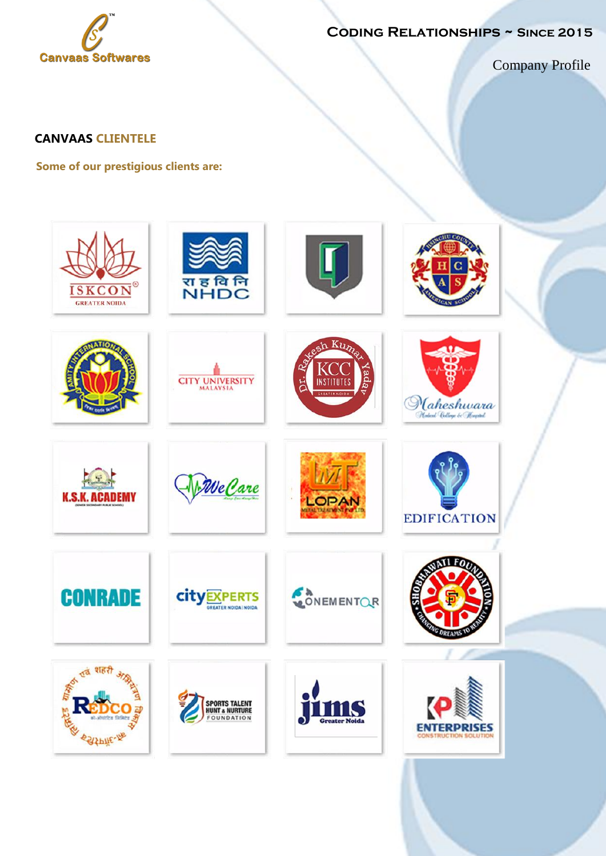

Company Profile

## **CANVAAS CLIENTELE**

**Some of our prestigious clients are:**